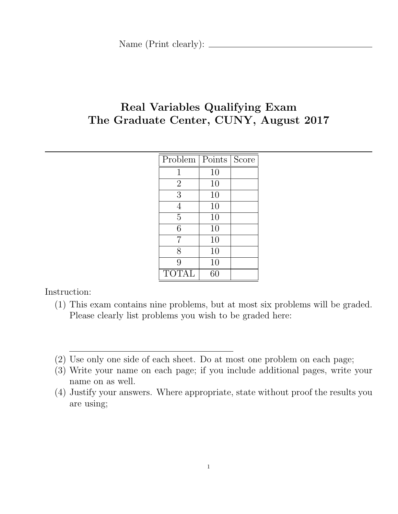# Real Variables Qualifying Exam The Graduate Center, CUNY, August 2017

| Problem        | Points | Score |
|----------------|--------|-------|
| 1              | 10     |       |
| $\overline{2}$ | 10     |       |
| 3              | 10     |       |
| 4              | 10     |       |
| $\overline{5}$ | 10     |       |
| 6              | 10     |       |
| $\overline{7}$ | 10     |       |
| 8              | 10     |       |
| 9              | 10     |       |
| TOTAL          | 60     |       |

Instruction:

- (1) This exam contains nine problems, but at most six problems will be graded. Please clearly list problems you wish to be graded here:
- (2) Use only one side of each sheet. Do at most one problem on each page;
- (3) Write your name on each page; if you include additional pages, write your name on as well.
- (4) Justify your answers. Where appropriate, state without proof the results you are using;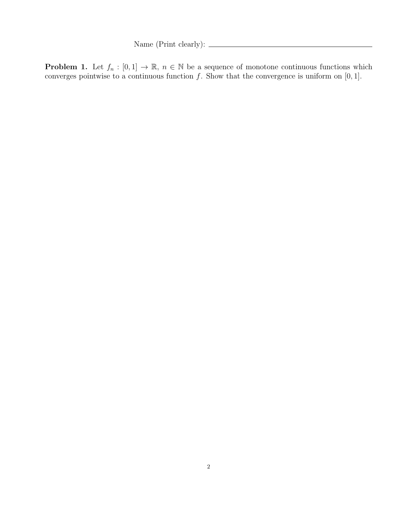Name (Print clearly):  $\frac{1}{\sqrt{1-\frac{1}{2}}\cdot\sqrt{1-\frac{1}{2}}\cdot\sqrt{1-\frac{1}{2}}\cdot\sqrt{1-\frac{1}{2}}\cdot\sqrt{1-\frac{1}{2}}\cdot\sqrt{1-\frac{1}{2}}\cdot\sqrt{1-\frac{1}{2}}\cdot\sqrt{1-\frac{1}{2}}\cdot\sqrt{1-\frac{1}{2}}\cdot\sqrt{1-\frac{1}{2}}\cdot\sqrt{1-\frac{1}{2}}\cdot\sqrt{1-\frac{1}{2}}\cdot\sqrt{1-\frac{1}{2}}\cdot\sqrt{1-\frac{1}{2}}\cdot\sqrt{1-\frac{1}{2}}\$ 

**Problem 1.** Let  $f_n : [0,1] \to \mathbb{R}$ ,  $n \in \mathbb{N}$  be a sequence of monotone continuous functions which converges pointwise to a continuous function f. Show that the convergence is uniform on  $[0, 1]$ .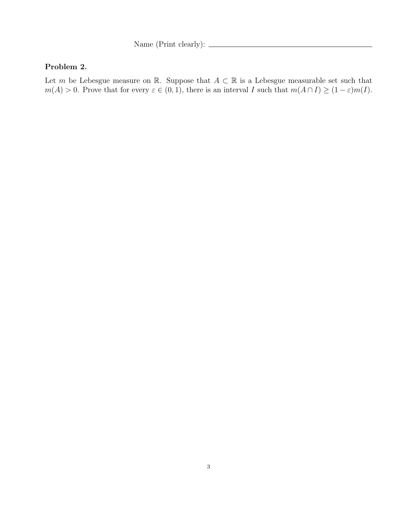Name (Print clearly):  $\frac{1}{\sqrt{1-\frac{1}{2}}\cdot\sqrt{1-\frac{1}{2}}\cdot\sqrt{1-\frac{1}{2}}\cdot\sqrt{1-\frac{1}{2}}\cdot\sqrt{1-\frac{1}{2}}\cdot\sqrt{1-\frac{1}{2}}\cdot\sqrt{1-\frac{1}{2}}\cdot\sqrt{1-\frac{1}{2}}\cdot\sqrt{1-\frac{1}{2}}\cdot\sqrt{1-\frac{1}{2}}\cdot\sqrt{1-\frac{1}{2}}\cdot\sqrt{1-\frac{1}{2}}\cdot\sqrt{1-\frac{1}{2}}\cdot\sqrt{1-\frac{1}{2}}\cdot\sqrt{1-\frac{1}{2}}\$ 

### Problem 2.

Let m be Lebesgue measure on R. Suppose that  $A \subset \mathbb{R}$  is a Lebesgue measurable set such that  $m(A) > 0$ . Prove that for every  $\varepsilon \in (0, 1)$ , there is an interval I such that  $m(A \cap I) \ge (1 - \varepsilon)m(I)$ .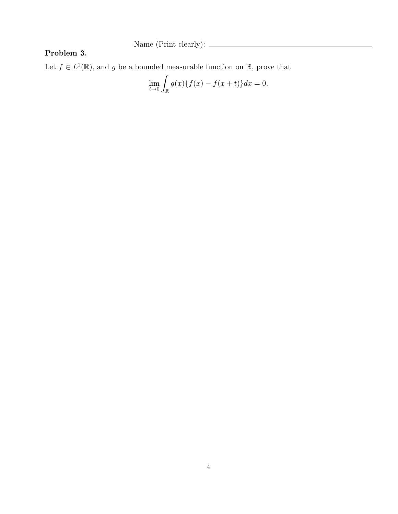Name (Print clearly):

### Problem 3.

Let  $f \in L^1(\mathbb{R})$ , and g be a bounded measurable function on  $\mathbb{R}$ , prove that

$$
\lim_{t \to 0} \int_{\mathbb{R}} g(x) \{ f(x) - f(x+t) \} dx = 0.
$$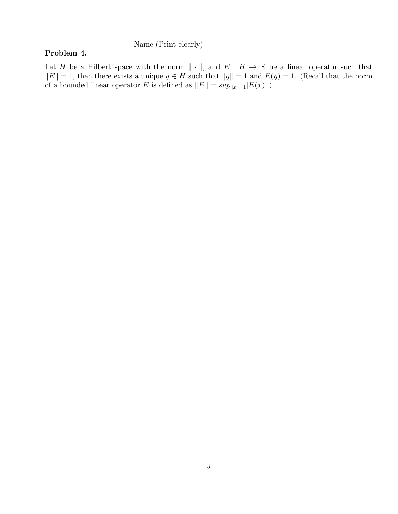Name (Print clearly):  $\frac{1}{\sqrt{2\pi}}$ 

#### Problem 4.

Let H be a Hilbert space with the norm  $\|\cdot\|$ , and  $E : H \to \mathbb{R}$  be a linear operator such that  $||E|| = 1$ , then there exists a unique  $y \in H$  such that  $||y|| = 1$  and  $E(y) = 1$ . (Recall that the norm of a bounded linear operator E is defined as  $||E|| = \sup_{||x||=1} |E(x)|$ .)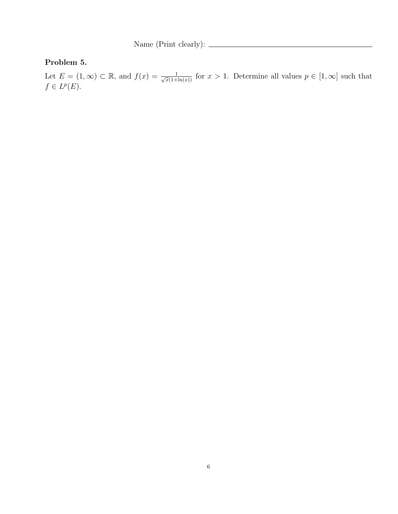Name (Print clearly):

# Problem 5.

Let  $E = (1, \infty) \subset \mathbb{R}$ , and  $f(x) = \frac{1}{\sqrt{x}(1+\ln(x))}$  for  $x > 1$ . Determine all values  $p \in [1, \infty]$  such that  $f \in L^p(E).$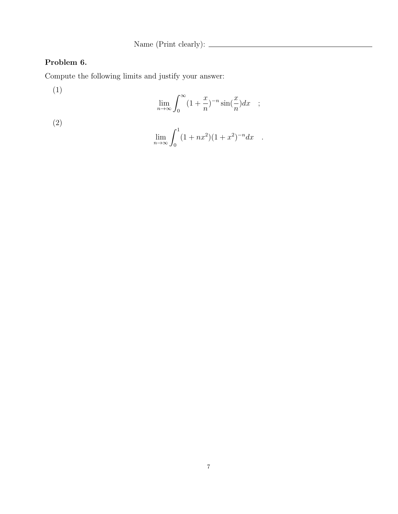Name (Print clearly):  $\qquad \qquad$ 

## Problem 6.

Compute the following limits and justify your answer:

(1)

$$
\lim_{n \to \infty} \int_0^\infty (1 + \frac{x}{n})^{-n} \sin(\frac{x}{n}) dx \quad ;
$$

(2)

$$
\lim_{n \to \infty} \int_0^1 (1 + nx^2)(1 + x^2)^{-n} dx .
$$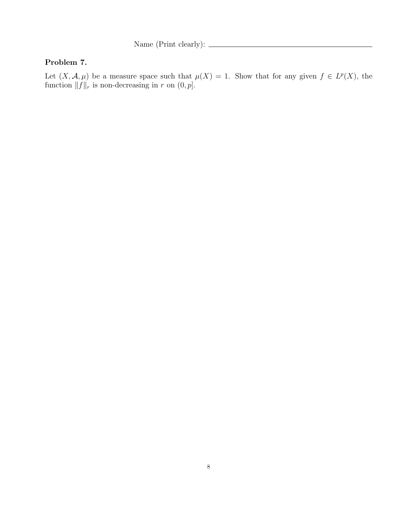Name (Print clearly):  $\qquad \qquad$ 

### Problem 7.

Let  $(X, \mathcal{A}, \mu)$  be a measure space such that  $\mu(X) = 1$ . Show that for any given  $f \in L^p(X)$ , the function  $||f||_r$  is non-decreasing in r on  $(0, p]$ .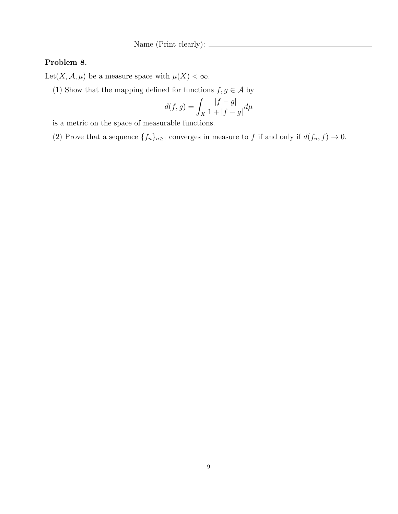Name (Print clearly):  $\_\_\_\_\_\_\_\_\_\_\_\_\_\_\_\_\_\_\_\_\_\_\_\_\_\_\_\_\_\_$ 

### Problem 8.

Let  $(X, \mathcal{A}, \mu)$  be a measure space with  $\mu(X) < \infty$ .

(1) Show that the mapping defined for functions  $f,g\in\mathcal{A}$  by

$$
d(f,g) = \int_X \frac{|f-g|}{1+|f-g|} d\mu
$$

is a metric on the space of measurable functions.

(2) Prove that a sequence  $\{f_n\}_{n\geq 1}$  converges in measure to f if and only if  $d(f_n, f) \to 0$ .